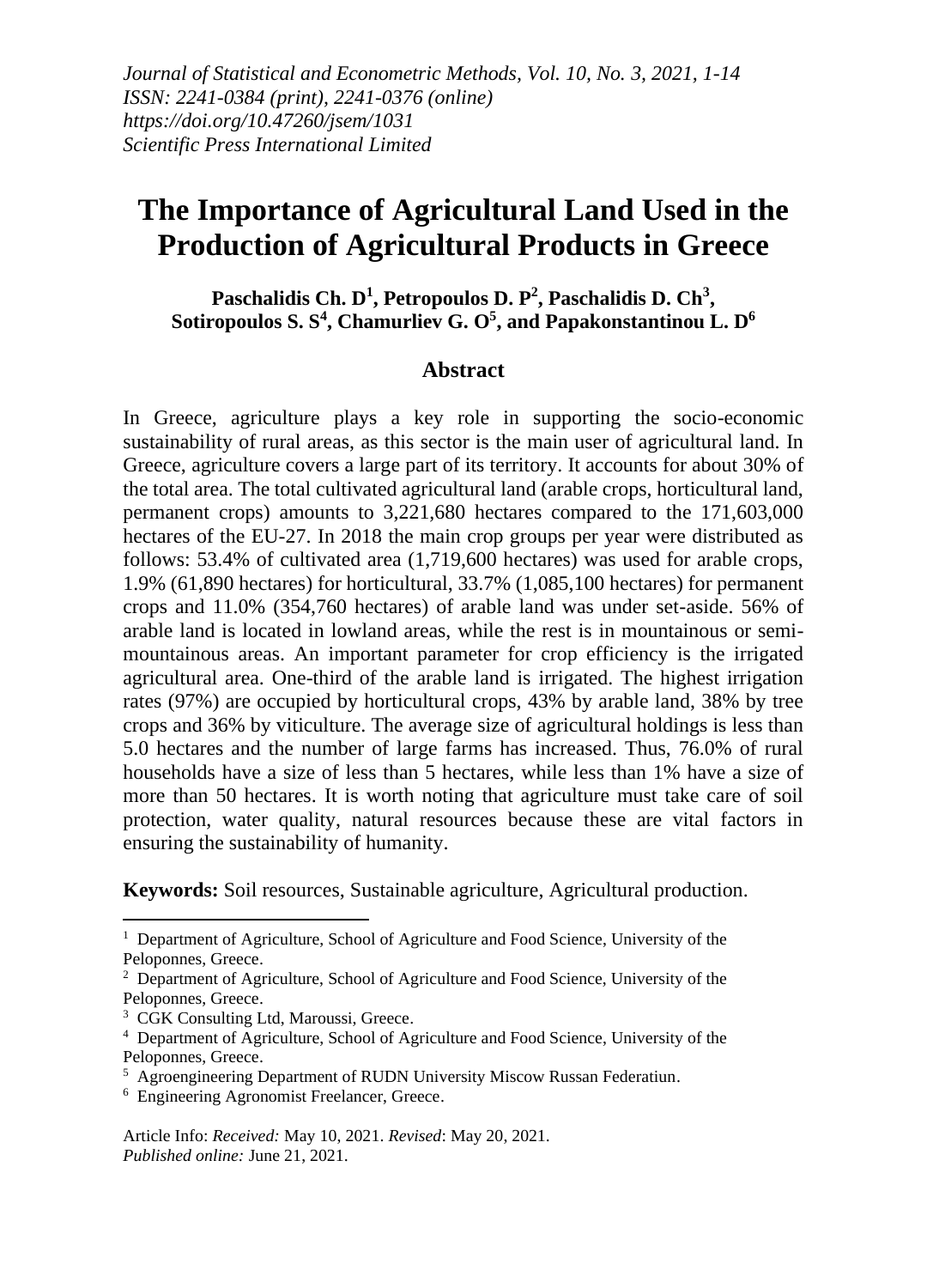# **The Importance of Agricultural Land Used in the Production of Agricultural Products in Greece**

Paschalidis Ch. D<sup>1</sup>, Petropoulos D. P<sup>2</sup>, Paschalidis D. Ch<sup>3</sup>, **Sotiropoulos S. S<sup>4</sup> , Chamurliev G. O<sup>5</sup> , and Papakonstantinou L. D<sup>6</sup>**

#### **Abstract**

In Greece, agriculture plays a key role in supporting the socio-economic sustainability of rural areas, as this sector is the main user of agricultural land. In Greece, agriculture covers a large part of its territory. It accounts for about 30% of the total area. The total cultivated agricultural land (arable crops, horticultural land, permanent crops) amounts to 3,221,680 hectares compared to the 171,603,000 hectares of the EU-27. In 2018 the main crop groups per year were distributed as follows: 53.4% of cultivated area (1,719,600 hectares) was used for arable crops, 1.9% (61,890 hectares) for horticultural, 33.7% (1,085,100 hectares) for permanent crops and 11.0% (354,760 hectares) of arable land was under set-aside. 56% of arable land is located in lowland areas, while the rest is in mountainous or semimountainous areas. An important parameter for crop efficiency is the irrigated agricultural area. One-third of the arable land is irrigated. The highest irrigation rates (97%) are occupied by horticultural crops, 43% by arable land, 38% by tree crops and 36% by viticulture. The average size of agricultural holdings is less than 5.0 hectares and the number of large farms has increased. Thus, 76.0% of rural households have a size of less than 5 hectares, while less than 1% have a size of more than 50 hectares. It is worth noting that agriculture must take care of soil protection, water quality, natural resources because these are vital factors in ensuring the sustainability of humanity.

**Keywords:** Soil resources, Sustainable agriculture, Agricultural production.

<sup>3</sup> CGK Consulting Ltd, Maroussi, Greece.

<sup>&</sup>lt;sup>1</sup> Department of Agriculture, School of Agriculture and Food Science, University of the Peloponnes, Greece.

 $2$  Department of Agriculture, School of Agriculture and Food Science, University of the Peloponnes, Greece.

<sup>4</sup> Department of Agriculture, School of Agriculture and Food Science, University of the Peloponnes, Greece.

<sup>&</sup>lt;sup>5</sup> Agroengineering Department of RUDN University Miscow Russan Federatiun.

<sup>6</sup> Engineering Agronomist Freelancer, Greece.

Article Info: *Received:* May 10, 2021. *Revised*: May 20, 2021. *Published online:* June 21, 2021.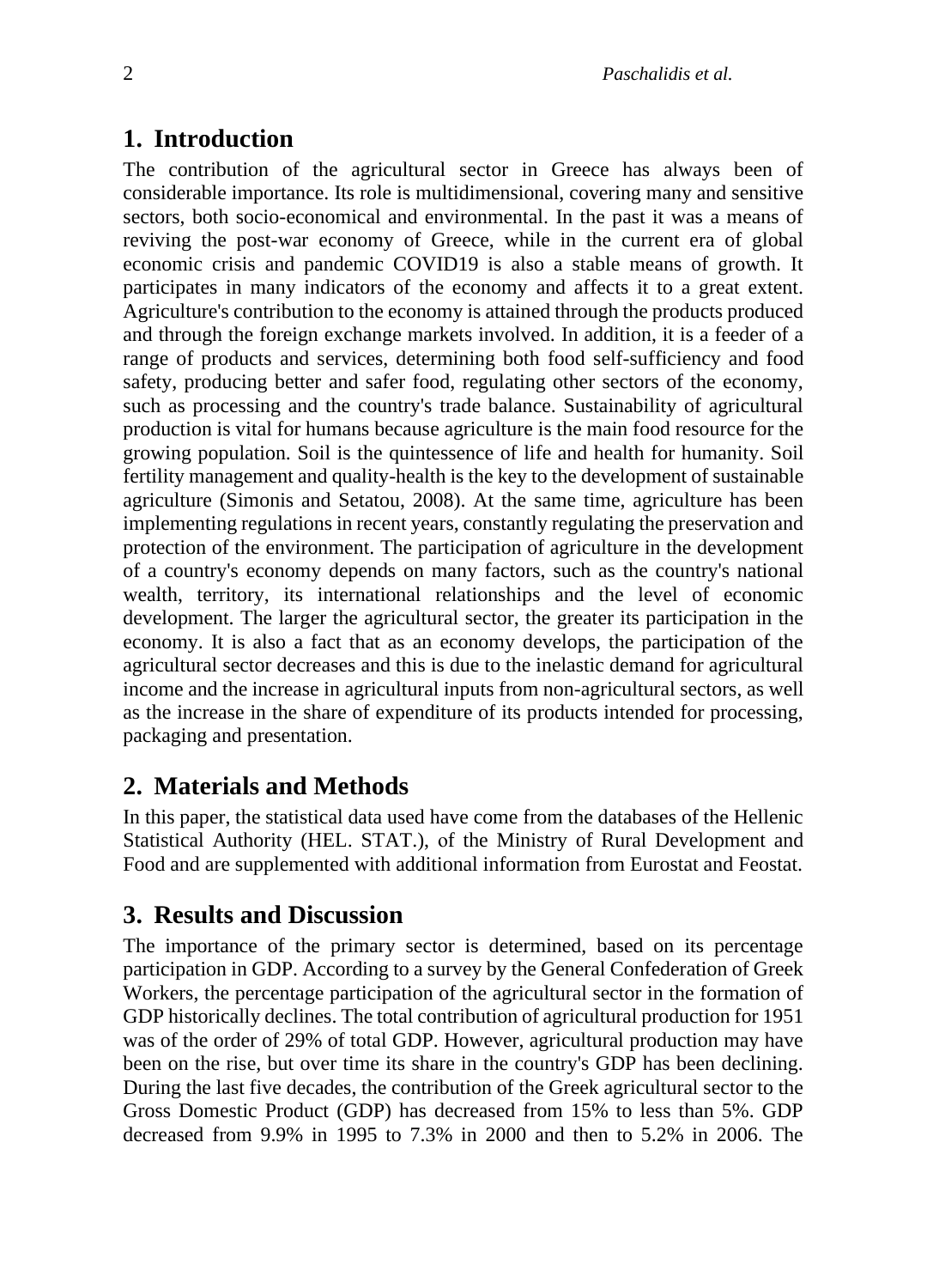#### **1. Introduction**

The contribution of the agricultural sector in Greece has always been of considerable importance. Its role is multidimensional, covering many and sensitive sectors, both socio-economical and environmental. In the past it was a means of reviving the post-war economy of Greece, while in the current era of global economic crisis and pandemic COVID19 is also a stable means of growth. It participates in many indicators of the economy and affects it to a great extent. Agriculture's contribution to the economy is attained through the products produced and through the foreign exchange markets involved. In addition, it is a feeder of a range of products and services, determining both food self-sufficiency and food safety, producing better and safer food, regulating other sectors of the economy, such as processing and the country's trade balance. Sustainability of agricultural production is vital for humans because agriculture is the main food resource for the growing population. Soil is the quintessence of life and health for humanity. Soil fertility management and quality-health is the key to the development of sustainable agriculture (Simonis and Setatou, 2008). At the same time, agriculture has been implementing regulations in recent years, constantly regulating the preservation and protection of the environment. The participation of agriculture in the development of a country's economy depends on many factors, such as the country's national wealth, territory, its international relationships and the level of economic development. The larger the agricultural sector, the greater its participation in the economy. It is also a fact that as an economy develops, the participation of the agricultural sector decreases and this is due to the inelastic demand for agricultural income and the increase in agricultural inputs from non-agricultural sectors, as well as the increase in the share of expenditure of its products intended for processing, packaging and presentation.

## **2. Materials and Methods**

Ιn this paper, the statistical data used have come from the databases of the Hellenic Statistical Authority (ΗEL. STAT.), οf the Ministry of Rural Development and Food and are supplemented with additional information from Eurostat and Feostat.

## **3. Results and Discussion**

The importance of the primary sector is determined, based on its percentage participation in GDP. According to a survey by the General Confederation of Greek Workers, the percentage participation of the agricultural sector in the formation of GDP historically declines. The total contribution of agricultural production for 1951 was of the order of 29% of total GDP. However, agricultural production may have been on the rise, but over time its share in the country's GDP has been declining. During the last five decades, the contribution of the Greek agricultural sector to the Gross Domestic Product (GDP) has decreased from 15% to less than 5%. GDP decreased from 9.9% in 1995 to 7.3% in 2000 and then to 5.2% in 2006. The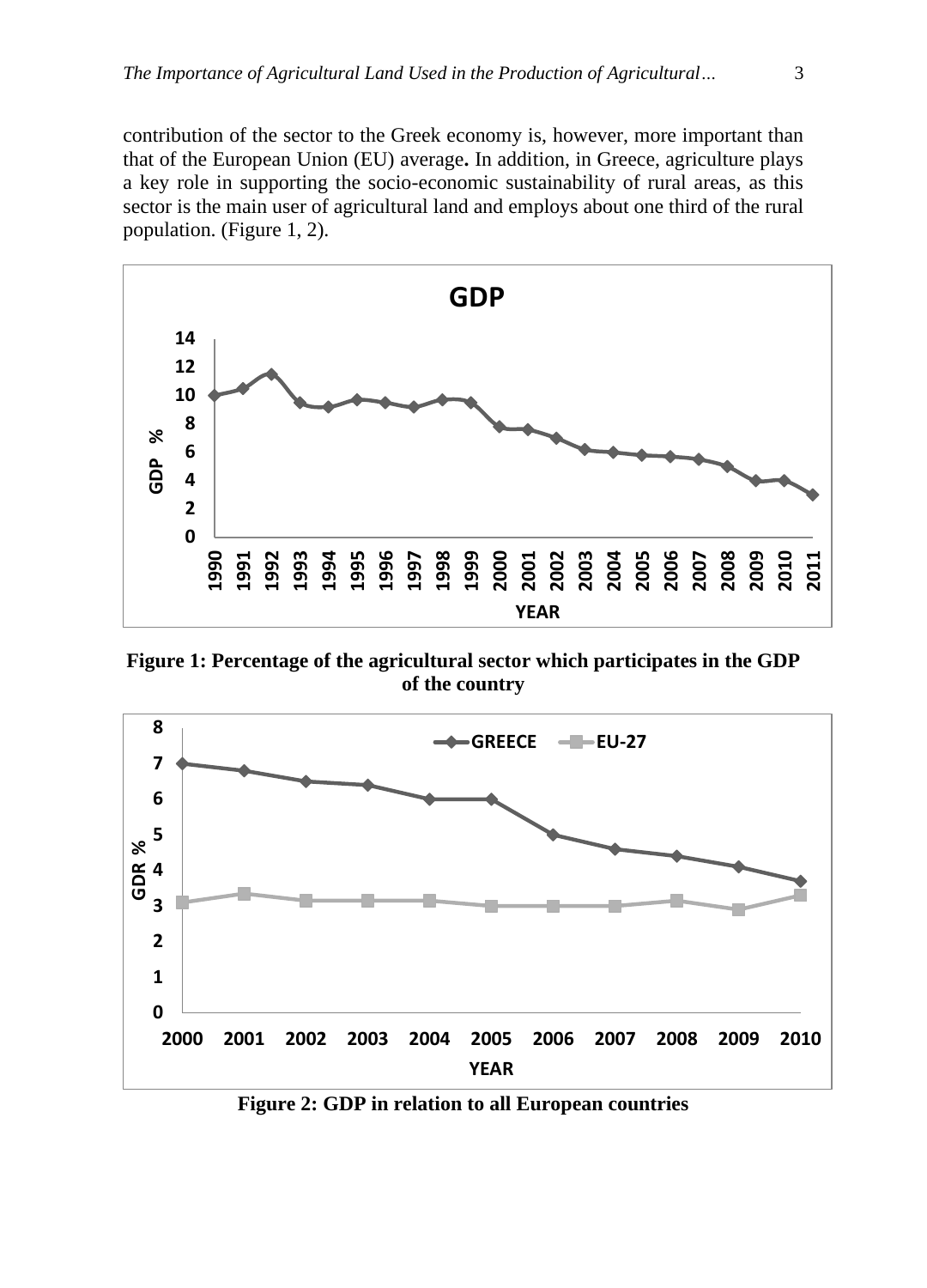contribution of the sector to the Greek economy is, however, more important than that of the European Union (EU) average**.** In addition, in Greece, agriculture plays a key role in supporting the socio-economic sustainability of rural areas, as this sector is the main user of agricultural land and employs about one third of the rural population. (Figure 1, 2).



**Figure 1: Percentage of the agricultural sector which participates in the GDP of the country**



**Figure 2: GDP in relation to all European countries**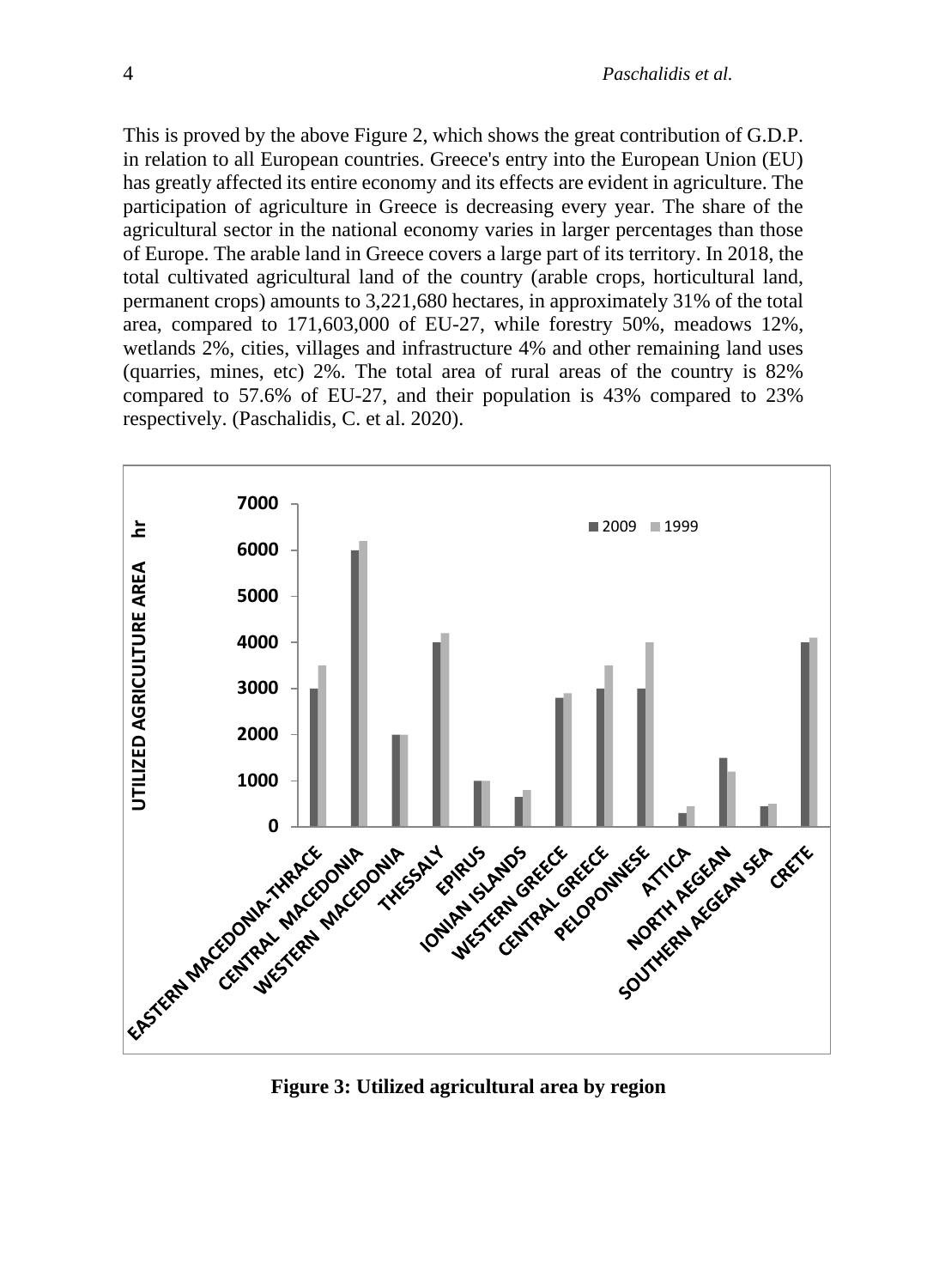This is proved by the above Figure 2, which shows the great contribution of G.D.P. in relation to all European countries. Greece's entry into the European Union (EU) has greatly affected its entire economy and its effects are evident in agriculture. The participation of agriculture in Greece is decreasing every year. The share of the agricultural sector in the national economy varies in larger percentages than those of Europe. The arable land in Greece covers a large part of its territory. In 2018, the total cultivated agricultural land of the country (arable crops, horticultural land, permanent crops) amounts to 3,221,680 hectares, in approximately 31% of the total area, compared to 171,603,000 of EU-27, while forestry 50%, meadows 12%, wetlands 2%, cities, villages and infrastructure 4% and other remaining land uses (quarries, mines, etc) 2%. The total area of rural areas of the country is 82% compared to 57.6% of EU-27, and their population is 43% compared to 23% respectively. (Paschalidis, C. et al. 2020).



**Figure 3: Utilized agricultural area by region**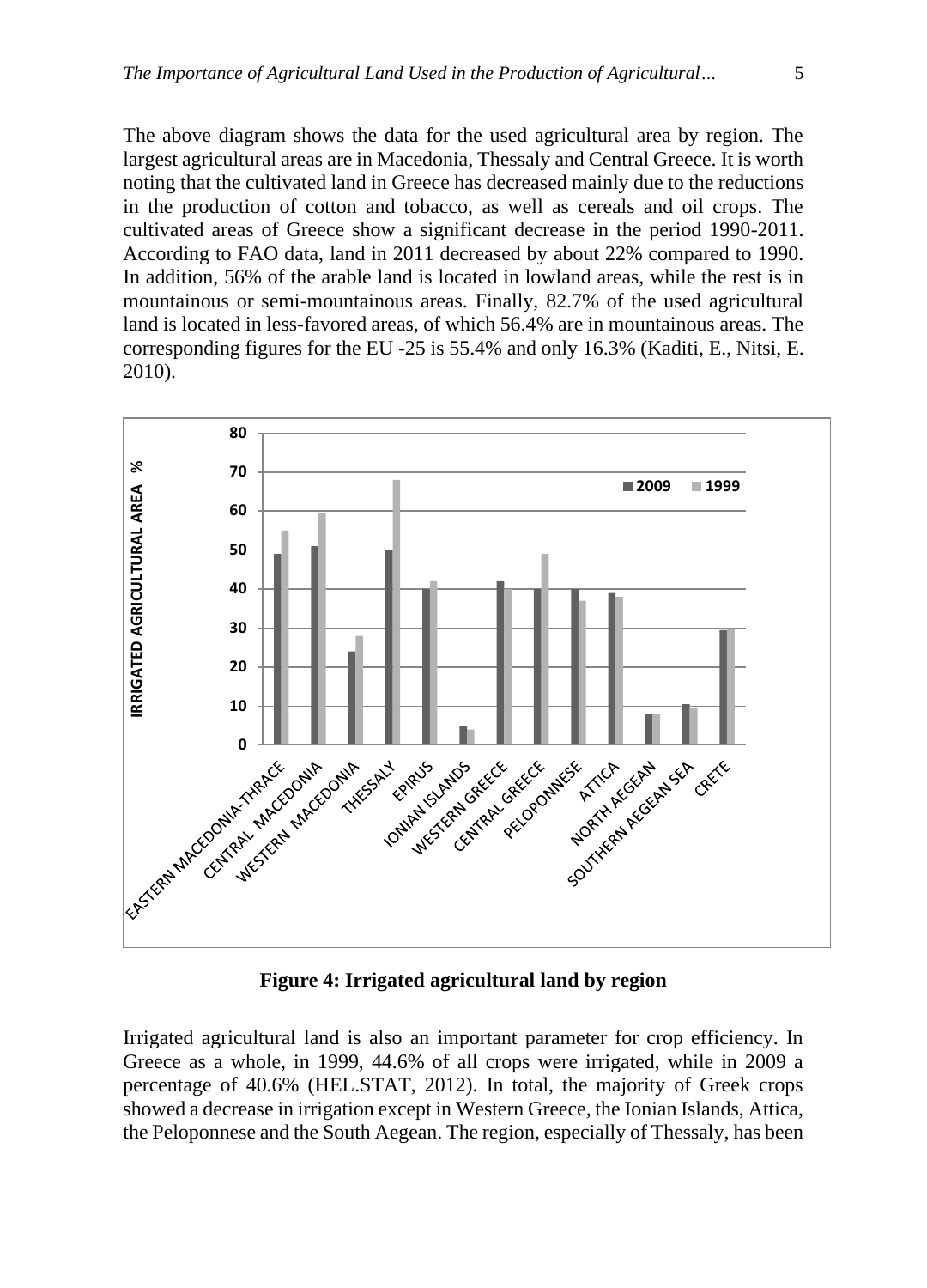The above diagram shows the data for the used agricultural area by region. The largest agricultural areas are in Macedonia, Thessaly and Central Greece. It is worth noting that the cultivated land in Greece has decreased mainly due to the reductions in the production of cotton and tobacco, as well as cereals and oil crops. The cultivated areas of Greece show a significant decrease in the period 1990-2011. According to FAO data, land in 2011 decreased by about 22% compared to 1990. In addition, 56% of the arable land is located in lowland areas, while the rest is in mountainous or semi-mountainous areas. Finally, 82.7% of the used agricultural land is located in less-favored areas, of which 56.4% are in mountainous areas. The corresponding figures for the EU -25 is 55.4% and only 16.3% (Kaditi, E., Nitsi, E. 2010).



**Figure 4: Irrigated agricultural land by region**

Irrigated agricultural land is also an important parameter for crop efficiency. In Greece as a whole, in 1999, 44.6% of all crops were irrigated, while in 2009 a percentage of 40.6% (HEL.STAT, 2012). In total, the majority of Greek crops showed a decrease in irrigation except in Western Greece, the Ionian Islands, Attica, the Peloponnese and the South Aegean. The region, especially of Thessaly, has been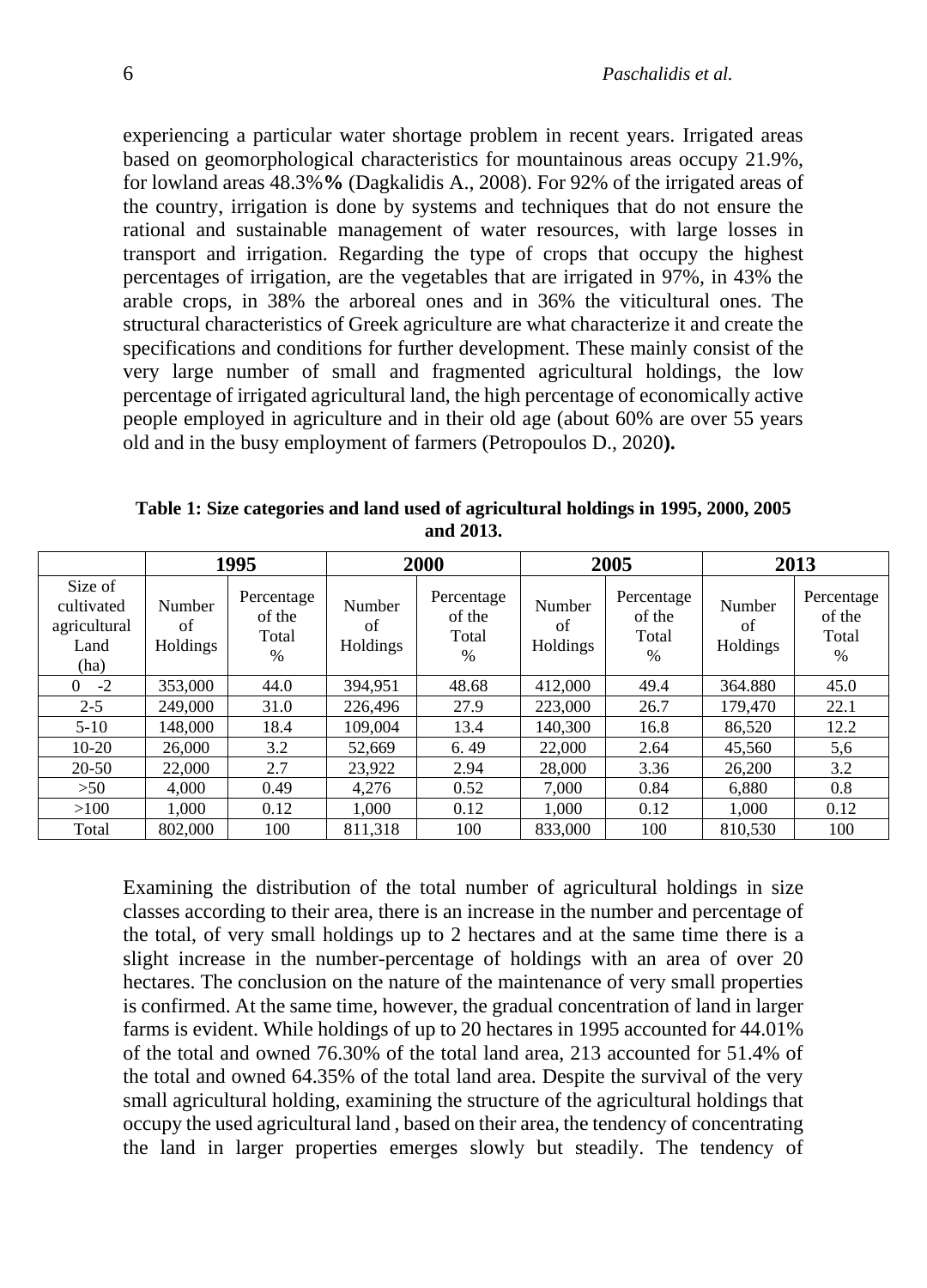experiencing a particular water shortage problem in recent years. Irrigated areas based on geomorphological characteristics for mountainous areas occupy 21.9%, for lowland areas 48.3%**%** (Dagkalidis A., 2008). For 92% of the irrigated areas of the country, irrigation is done by systems and techniques that do not ensure the rational and sustainable management of water resources, with large losses in transport and irrigation. Regarding the type of crops that occupy the highest percentages of irrigation, are the vegetables that are irrigated in 97%, in 43% the arable crops, in 38% the arboreal ones and in 36% the viticultural ones. The structural characteristics of Greek agriculture are what characterize it and create the specifications and conditions for further development. These mainly consist of the very large number of small and fragmented agricultural holdings, the low percentage of irrigated agricultural land, the high percentage of economically active people employed in agriculture and in their old age (about 60% are over 55 years old and in the busy employment of farmers (Petropoulos D., 2020**).**

|                                                       | 1995                     |                                       | 2000                     |                                       | 2005                     |                                       | 2013                     |                                       |
|-------------------------------------------------------|--------------------------|---------------------------------------|--------------------------|---------------------------------------|--------------------------|---------------------------------------|--------------------------|---------------------------------------|
| Size of<br>cultivated<br>agricultural<br>Land<br>(ha) | Number<br>of<br>Holdings | Percentage<br>of the<br>Total<br>$\%$ | Number<br>of<br>Holdings | Percentage<br>of the<br>Total<br>$\%$ | Number<br>of<br>Holdings | Percentage<br>of the<br>Total<br>$\%$ | Number<br>of<br>Holdings | Percentage<br>of the<br>Total<br>$\%$ |
| $-2$<br>0                                             | 353,000                  | 44.0                                  | 394,951                  | 48.68                                 | 412,000                  | 49.4                                  | 364.880                  | 45.0                                  |
| $2 - 5$                                               | 249,000                  | 31.0                                  | 226,496                  | 27.9                                  | 223,000                  | 26.7                                  | 179,470                  | 22.1                                  |
| $5 - 10$                                              | 148.000                  | 18.4                                  | 109.004                  | 13.4                                  | 140,300                  | 16.8                                  | 86,520                   | 12.2                                  |
| $10-20$                                               | 26,000                   | 3.2                                   | 52,669                   | 6.49                                  | 22,000                   | 2.64                                  | 45,560                   | 5,6                                   |
| $20-50$                                               | 22,000                   | 2.7                                   | 23.922                   | 2.94                                  | 28,000                   | 3.36                                  | 26,200                   | 3.2                                   |
| >50                                                   | 4.000                    | 0.49                                  | 4.276                    | 0.52                                  | 7.000                    | 0.84                                  | 6.880                    | 0.8                                   |
| >100                                                  | 1.000                    | 0.12                                  | 1.000                    | 0.12                                  | 1.000                    | 0.12                                  | 1.000                    | 0.12                                  |
| Total                                                 | 802,000                  | 100                                   | 811.318                  | 100                                   | 833,000                  | 100                                   | 810.530                  | 100                                   |

**Table 1: Size categories and land used of agricultural holdings in 1995, 2000, 2005 and 2013.**

Examining the distribution of the total number of agricultural holdings in size classes according to their area, there is an increase in the number and percentage of the total, of very small holdings up to 2 hectares and at the same time there is a slight increase in the number-percentage of holdings with an area of over 20 hectares. The conclusion on the nature of the maintenance of very small properties is confirmed. At the same time, however, the gradual concentration of land in larger farms is evident. While holdings of up to 20 hectares in 1995 accounted for 44.01% of the total and owned 76.30% of the total land area, 213 accounted for 51.4% of the total and owned 64.35% of the total land area. Despite the survival of the very small agricultural holding, examining the structure of the agricultural holdings that occupy the used agricultural land , based on their area, the tendency of concentrating the land in larger properties emerges slowly but steadily. The tendency of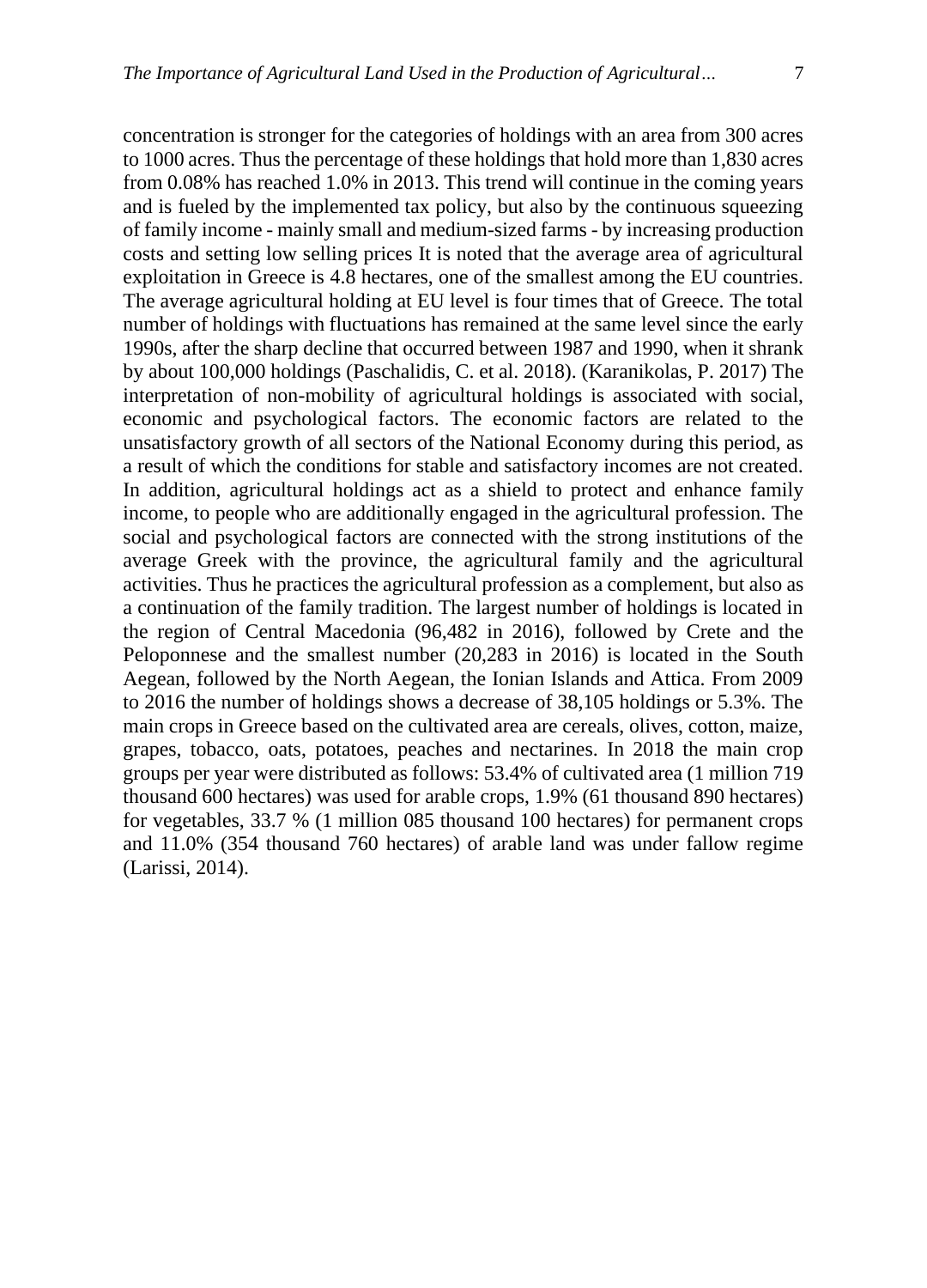concentration is stronger for the categories of holdings with an area from 300 acres to 1000 acres. Thus the percentage of these holdings that hold more than 1,830 acres from 0.08% has reached 1.0% in 2013. This trend will continue in the coming years and is fueled by the implemented tax policy, but also by the continuous squeezing of family income - mainly small and medium-sized farms - by increasing production costs and setting low selling prices It is noted that the average area of agricultural exploitation in Greece is 4.8 hectares, one of the smallest among the EU countries. The average agricultural holding at EU level is four times that of Greece. The total number of holdings with fluctuations has remained at the same level since the early 1990s, after the sharp decline that occurred between 1987 and 1990, when it shrank by about 100,000 holdings (Paschalidis, C. et al. 2018). (Karanikolas, P. 2017) The interpretation of non-mobility of agricultural holdings is associated with social, economic and psychological factors. The economic factors are related to the unsatisfactory growth of all sectors of the National Economy during this period, as a result of which the conditions for stable and satisfactory incomes are not created. In addition, agricultural holdings act as a shield to protect and enhance family income, to people who are additionally engaged in the agricultural profession. The social and psychological factors are connected with the strong institutions of the average Greek with the province, the agricultural family and the agricultural activities. Thus he practices the agricultural profession as a complement, but also as a continuation of the family tradition. The largest number of holdings is located in the region of Central Macedonia (96,482 in 2016), followed by Crete and the Peloponnese and the smallest number (20,283 in 2016) is located in the South Aegean, followed by the North Aegean, the Ionian Islands and Attica. From 2009 to 2016 the number of holdings shows a decrease of 38,105 holdings or 5.3%. The main crops in Greece based on the cultivated area are cereals, olives, cotton, maize, grapes, tobacco, oats, potatoes, peaches and nectarines. In 2018 the main crop groups per year were distributed as follows: 53.4% of cultivated area (1 million 719 thousand 600 hectares) was used for arable crops, 1.9% (61 thousand 890 hectares) for vegetables, 33.7 % (1 million 085 thousand 100 hectares) for permanent crops and 11.0% (354 thousand 760 hectares) of arable land was under fallow regime (Larissi, 2014).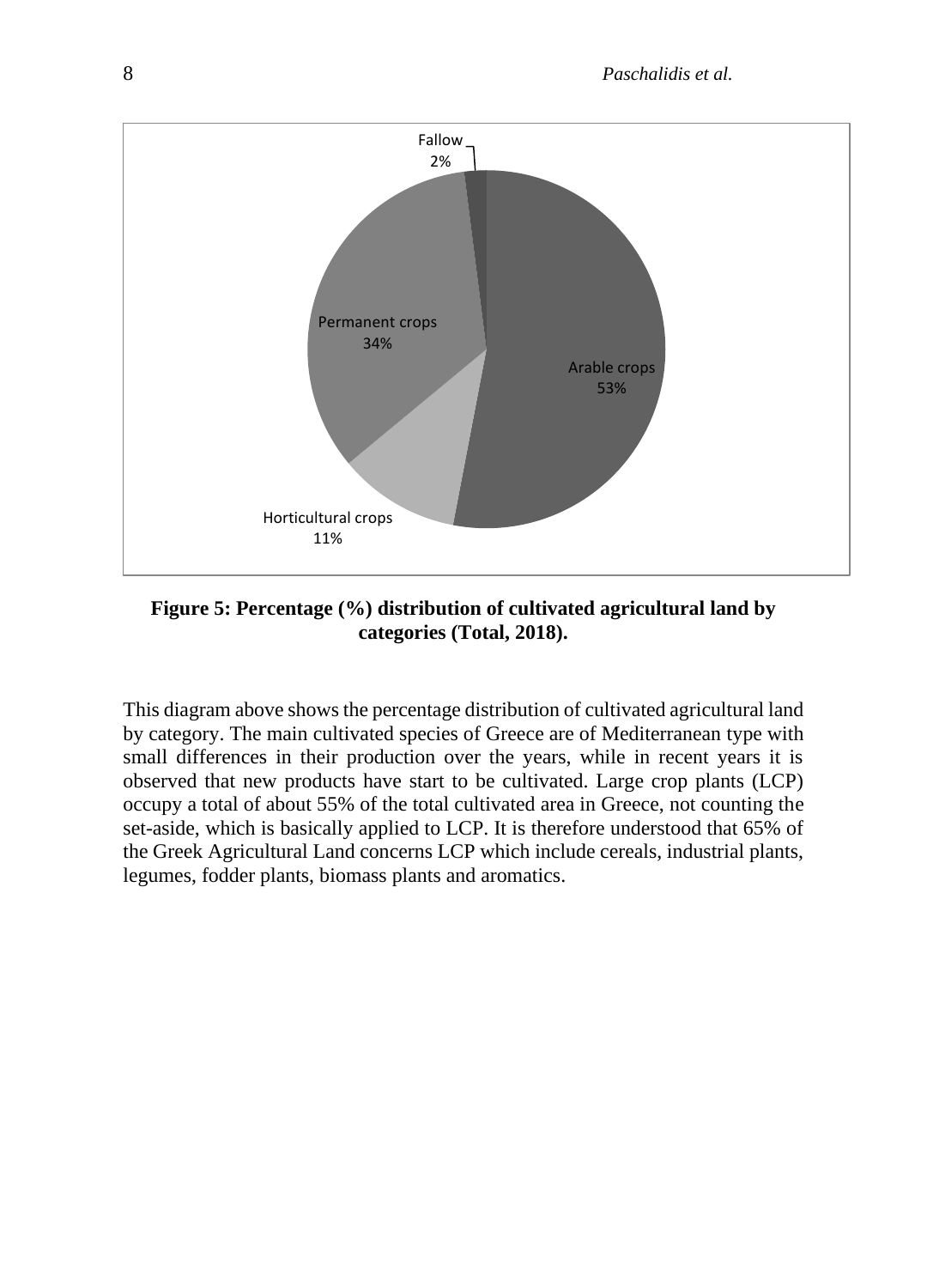

**Figure 5: Percentage (%) distribution of cultivated agricultural land by categories (Total, 2018).**

This diagram above shows the percentage distribution of cultivated agricultural land by category. The main cultivated species of Greece are of Mediterranean type with small differences in their production over the years, while in recent years it is observed that new products have start to be cultivated. Large crop plants (LCP) occupy a total of about 55% of the total cultivated area in Greece, not counting the set-aside, which is basically applied to LCP. It is therefore understood that 65% of the Greek Agricultural Land concerns LCP which include cereals, industrial plants, legumes, fodder plants, biomass plants and aromatics.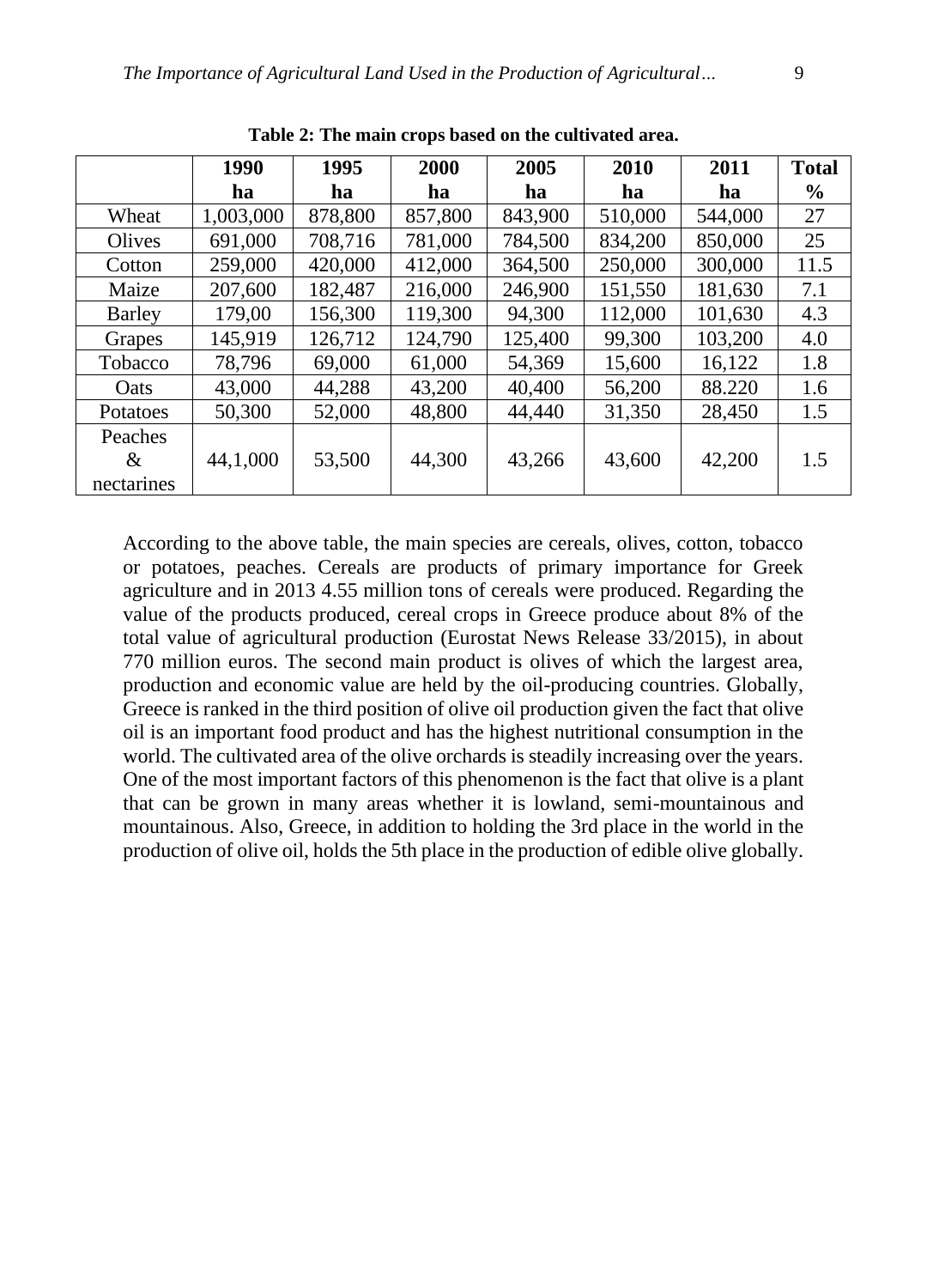|                 | 1990      | 1995    | 2000    | 2005    | 2010    | 2011    | <b>Total</b> |
|-----------------|-----------|---------|---------|---------|---------|---------|--------------|
|                 | ha        | ha      | ha      | ha      | ha      | ha      | $\%$         |
| Wheat           | 1,003,000 | 878,800 | 857,800 | 843,900 | 510,000 | 544,000 | 27           |
| Olives          | 691,000   | 708,716 | 781,000 | 784,500 | 834,200 | 850,000 | 25           |
| Cotton          | 259,000   | 420,000 | 412,000 | 364,500 | 250,000 | 300,000 | 11.5         |
| Maize           | 207,600   | 182,487 | 216,000 | 246,900 | 151,550 | 181,630 | 7.1          |
| <b>Barley</b>   | 179,00    | 156,300 | 119,300 | 94,300  | 112,000 | 101,630 | 4.3          |
| Grapes          | 145,919   | 126,712 | 124,790 | 125,400 | 99,300  | 103,200 | 4.0          |
| Tobacco         | 78,796    | 69,000  | 61,000  | 54,369  | 15,600  | 16,122  | 1.8          |
| Oats            | 43,000    | 44,288  | 43,200  | 40,400  | 56,200  | 88.220  | 1.6          |
| <b>Potatoes</b> | 50,300    | 52,000  | 48,800  | 44,440  | 31,350  | 28,450  | 1.5          |
| Peaches<br>&    | 44,1,000  | 53,500  | 44,300  | 43,266  | 43,600  | 42,200  | 1.5          |
| nectarines      |           |         |         |         |         |         |              |

**Table 2: The main crops based on the cultivated area.**

According to the above table, the main species are cereals, olives, cotton, tobacco or potatoes, peaches. Cereals are products of primary importance for Greek agriculture and in 2013 4.55 million tons of cereals were produced. Regarding the value of the products produced, cereal crops in Greece produce about 8% of the total value of agricultural production (Eurostat News Release 33/2015), in about 770 million euros. The second main product is olives of which the largest area, production and economic value are held by the oil-producing countries. Globally, Greece is ranked in the third position of olive oil production given the fact that olive oil is an important food product and has the highest nutritional consumption in the world. The cultivated area of the olive orchards is steadily increasing over the years. One of the most important factors of this phenomenon is the fact that olive is a plant that can be grown in many areas whether it is lowland, semi-mountainous and mountainous. Also, Greece, in addition to holding the 3rd place in the world in the production of olive oil, holds the 5th place in the production of edible olive globally.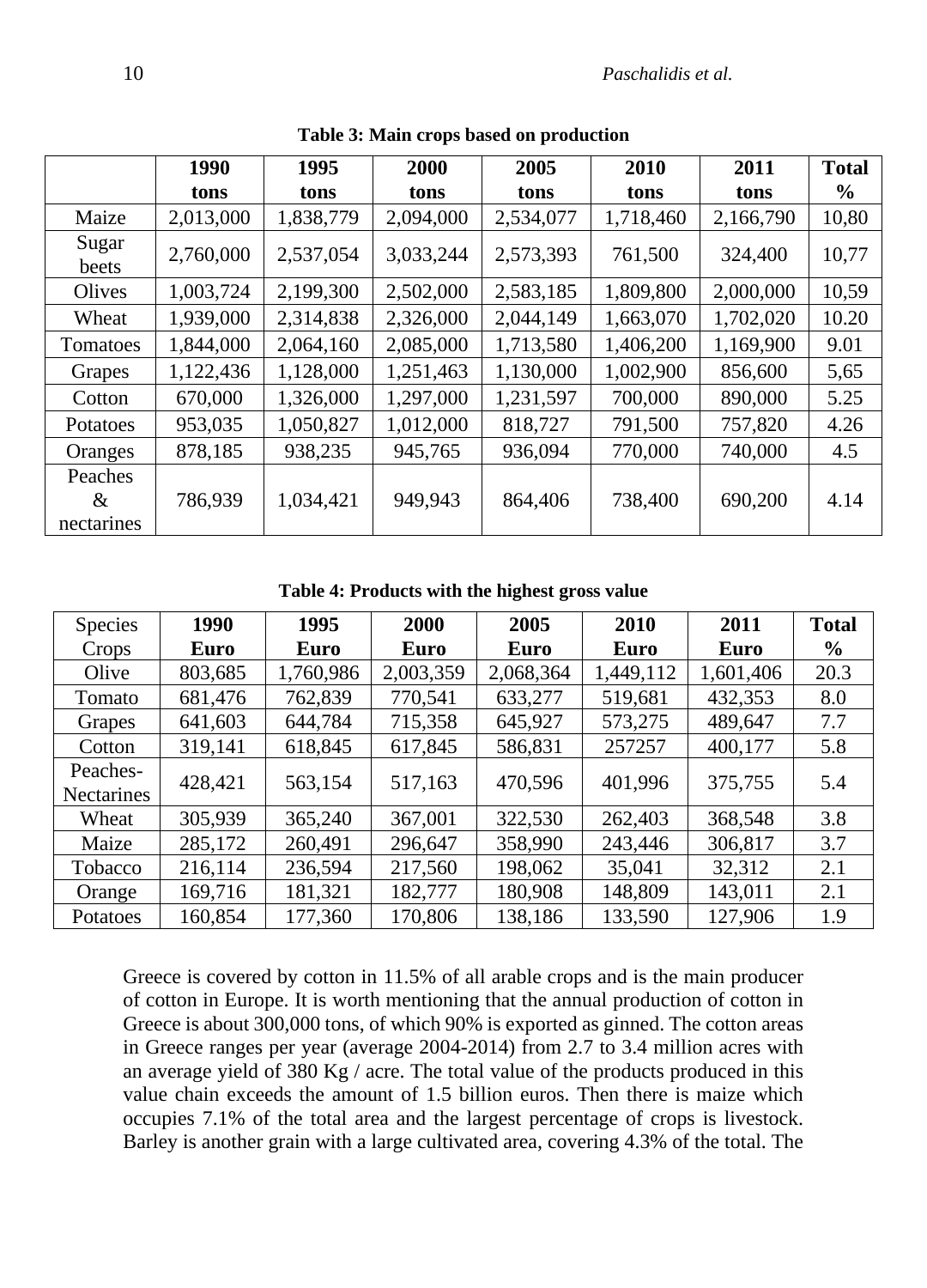|                               | 1990      | 1995      | 2000      | 2005      | 2010      | 2011      | <b>Total</b>  |
|-------------------------------|-----------|-----------|-----------|-----------|-----------|-----------|---------------|
|                               | tons      | tons      | tons      | tons      | tons      | tons      | $\frac{6}{9}$ |
| Maize                         | 2,013,000 | 1,838,779 | 2,094,000 | 2,534,077 | 1,718,460 | 2,166,790 | 10,80         |
| Sugar<br>beets                | 2,760,000 | 2,537,054 | 3,033,244 | 2,573,393 | 761,500   | 324,400   | 10,77         |
| Olives                        | 1,003,724 | 2,199,300 | 2,502,000 | 2,583,185 | 1,809,800 | 2,000,000 | 10,59         |
| Wheat                         | 1,939,000 | 2,314,838 | 2,326,000 | 2,044,149 | 1,663,070 | 1,702,020 | 10.20         |
| Tomatoes                      | 1,844,000 | 2,064,160 | 2,085,000 | 1,713,580 | 1,406,200 | 1,169,900 | 9.01          |
| Grapes                        | 1,122,436 | 1,128,000 | 1,251,463 | 1,130,000 | 1,002,900 | 856,600   | 5,65          |
| Cotton                        | 670,000   | 1,326,000 | 1,297,000 | 1,231,597 | 700,000   | 890,000   | 5.25          |
| Potatoes                      | 953,035   | 1,050,827 | 1,012,000 | 818,727   | 791,500   | 757,820   | 4.26          |
| Oranges                       | 878,185   | 938,235   | 945,765   | 936,094   | 770,000   | 740,000   | 4.5           |
| Peaches<br>$\&$<br>nectarines | 786,939   | 1,034,421 | 949,943   | 864,406   | 738,400   | 690,200   | 4.14          |

**Table 3: Main crops based on production**

**Table 4: Products with the highest gross value**

| <b>Species</b>                | 1990    | 1995      | 2000        | 2005      | 2010      | 2011      | <b>Total</b> |
|-------------------------------|---------|-----------|-------------|-----------|-----------|-----------|--------------|
| Crops                         | Euro    | Euro      | <b>Euro</b> | Euro      | Euro      | Euro      | $\%$         |
| Olive                         | 803,685 | 1,760,986 | 2,003,359   | 2,068,364 | 1,449,112 | 1,601,406 | 20.3         |
| Tomato                        | 681,476 | 762,839   | 770,541     | 633,277   | 519,681   | 432,353   | 8.0          |
| Grapes                        | 641,603 | 644,784   | 715,358     | 645,927   | 573,275   | 489,647   | 7.7          |
| Cotton                        | 319,141 | 618,845   | 617,845     | 586,831   | 257257    | 400,177   | 5.8          |
| Peaches-<br><b>Nectarines</b> | 428,421 | 563,154   | 517,163     | 470,596   | 401,996   | 375,755   | 5.4          |
| Wheat                         | 305,939 | 365,240   | 367,001     | 322,530   | 262,403   | 368,548   | 3.8          |
| Maize                         | 285,172 | 260,491   | 296,647     | 358,990   | 243,446   | 306,817   | 3.7          |
| Tobacco                       | 216,114 | 236,594   | 217,560     | 198,062   | 35,041    | 32,312    | 2.1          |
| Orange                        | 169,716 | 181,321   | 182,777     | 180,908   | 148,809   | 143,011   | 2.1          |
| Potatoes                      | 160,854 | 177,360   | 170,806     | 138,186   | 133,590   | 127,906   | 1.9          |

Greece is covered by cotton in 11.5% of all arable crops and is the main producer of cotton in Europe. It is worth mentioning that the annual production of cotton in Greece is about 300,000 tons, of which 90% is exported as ginned. The cotton areas in Greece ranges per year (average 2004-2014) from 2.7 to 3.4 million acres with an average yield of 380 Kg  $/$  acre. The total value of the products produced in this value chain exceeds the amount of 1.5 billion euros. Then there is maize which occupies 7.1% of the total area and the largest percentage of crops is livestock. Barley is another grain with a large cultivated area, covering 4.3% of the total. The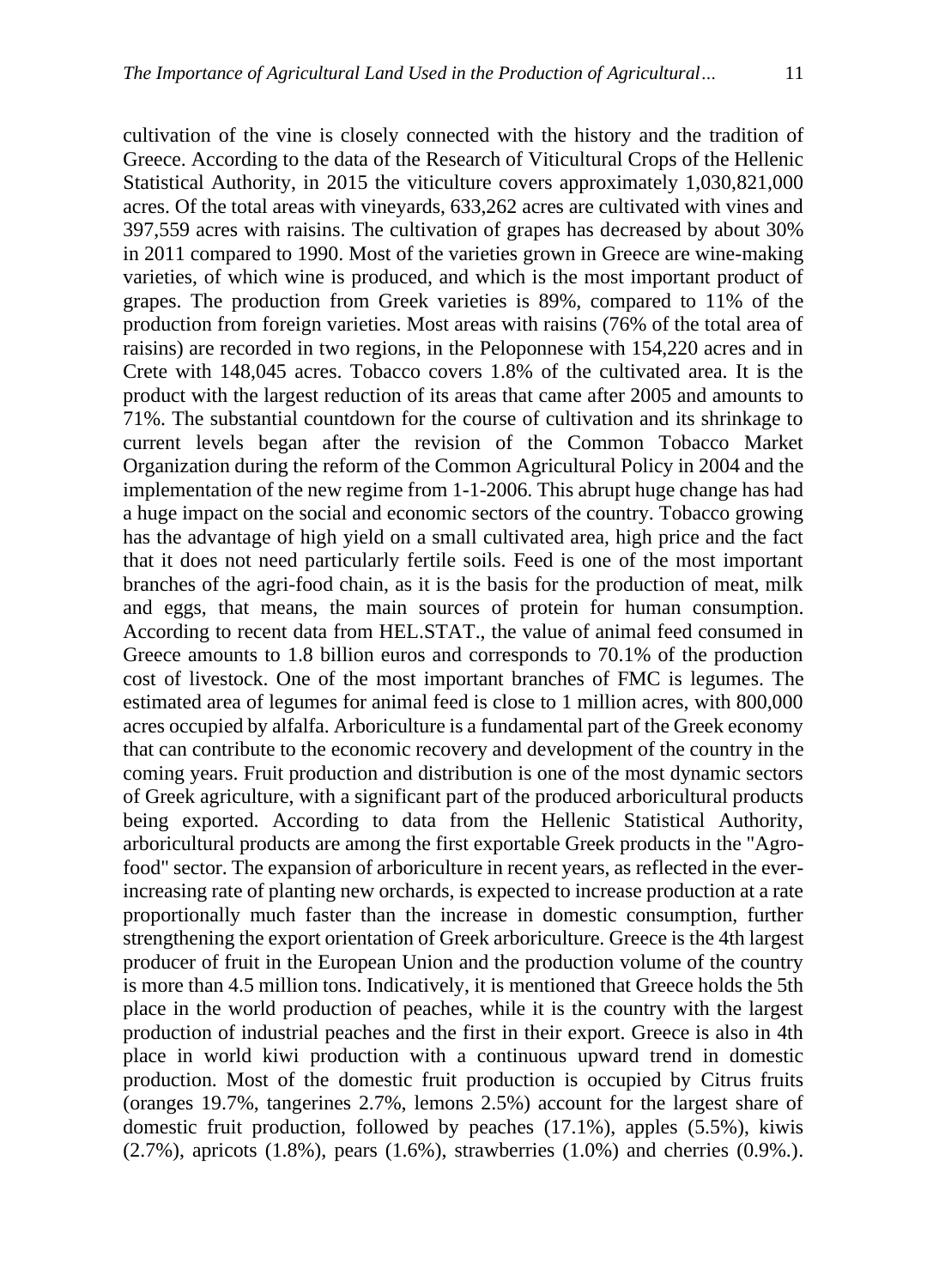cultivation of the vine is closely connected with the history and the tradition of Greece. According to the data of the Research of Viticultural Crops of the Hellenic Statistical Authority, in 2015 the viticulture covers approximately 1,030,821,000 acres. Of the total areas with vineyards, 633,262 acres are cultivated with vines and 397,559 acres with raisins. The cultivation of grapes has decreased by about 30% in 2011 compared to 1990. Most of the varieties grown in Greece are wine-making varieties, of which wine is produced, and which is the most important product of grapes. The production from Greek varieties is 89%, compared to 11% of the production from foreign varieties. Most areas with raisins (76% of the total area of raisins) are recorded in two regions, in the Peloponnese with 154,220 acres and in Crete with 148,045 acres. Tobacco covers 1.8% of the cultivated area. It is the product with the largest reduction of its areas that came after 2005 and amounts to 71%. The substantial countdown for the course of cultivation and its shrinkage to current levels began after the revision of the Common Tobacco Market Organization during the reform of the Common Agricultural Policy in 2004 and the implementation of the new regime from 1-1-2006. This abrupt huge change has had a huge impact on the social and economic sectors of the country. Tobacco growing has the advantage of high yield on a small cultivated area, high price and the fact that it does not need particularly fertile soils. Feed is one of the most important branches of the agri-food chain, as it is the basis for the production of meat, milk and eggs, that means, the main sources of protein for human consumption. According to recent data from HEL.STAT., the value of animal feed consumed in Greece amounts to 1.8 billion euros and corresponds to 70.1% of the production cost of livestock. One of the most important branches of FMC is legumes. The estimated area of legumes for animal feed is close to 1 million acres, with 800,000 acres occupied by alfalfa. Arboriculture is a fundamental part of the Greek economy that can contribute to the economic recovery and development of the country in the coming years. Fruit production and distribution is one of the most dynamic sectors of Greek agriculture, with a significant part of the produced arboricultural products being exported. According to data from the Hellenic Statistical Authority, arboricultural products are among the first exportable Greek products in the "Agrofood" sector. The expansion of arboriculture in recent years, as reflected in the everincreasing rate of planting new orchards, is expected to increase production at a rate proportionally much faster than the increase in domestic consumption, further strengthening the export orientation of Greek arboriculture. Greece is the 4th largest producer of fruit in the European Union and the production volume of the country is more than 4.5 million tons. Indicatively, it is mentioned that Greece holds the 5th place in the world production of peaches, while it is the country with the largest production of industrial peaches and the first in their export. Greece is also in 4th place in world kiwi production with a continuous upward trend in domestic production. Most of the domestic fruit production is occupied by Citrus fruits (oranges 19.7%, tangerines 2.7%, lemons 2.5%) account for the largest share of domestic fruit production, followed by peaches (17.1%), apples (5.5%), kiwis (2.7%), apricots (1.8%), pears (1.6%), strawberries (1.0%) and cherries (0.9%.).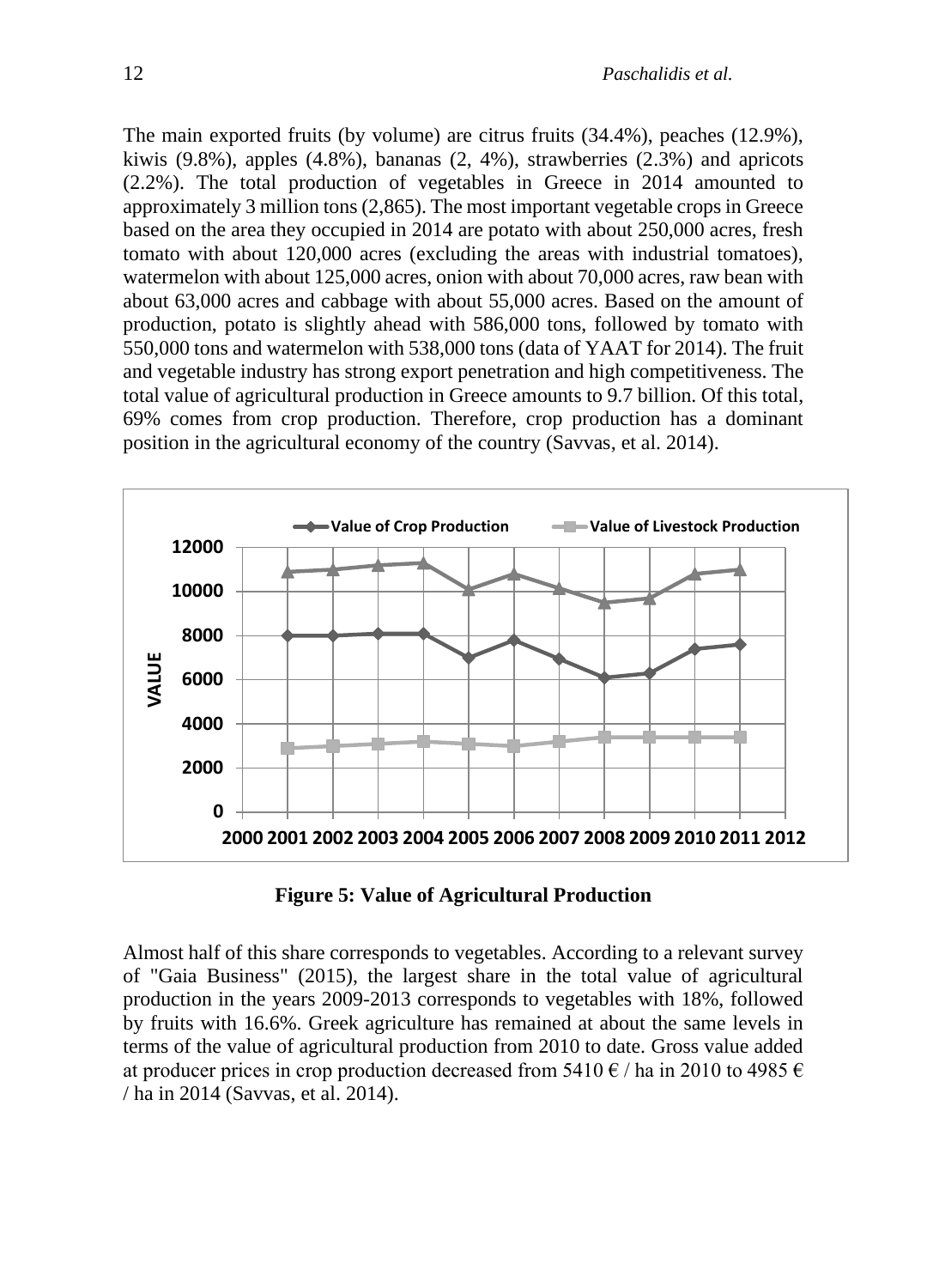The main exported fruits (by volume) are citrus fruits (34.4%), peaches (12.9%), kiwis  $(9.8\%)$ , apples  $(4.8\%)$ , bananas  $(2, 4\%)$ , strawberries  $(2.3\%)$  and apricots (2.2%). The total production of vegetables in Greece in 2014 amounted to approximately 3 million tons (2,865). The most important vegetable crops in Greece based on the area they occupied in 2014 are potato with about 250,000 acres, fresh tomato with about 120,000 acres (excluding the areas with industrial tomatoes), watermelon with about 125,000 acres, onion with about 70,000 acres, raw bean with about 63,000 acres and cabbage with about 55,000 acres. Based on the amount of production, potato is slightly ahead with 586,000 tons, followed by tomato with 550,000 tons and watermelon with 538,000 tons (data of YAAT for 2014). The fruit and vegetable industry has strong export penetration and high competitiveness. The total value of agricultural production in Greece amounts to 9.7 billion. Of this total, 69% comes from crop production. Therefore, crop production has a dominant position in the agricultural economy of the country (Savvas, et al. 2014).



**Figure 5: Value of Agricultural Production**

Almost half of this share corresponds to vegetables. According to a relevant survey of "Gaia Business" (2015), the largest share in the total value of agricultural production in the years 2009-2013 corresponds to vegetables with 18%, followed by fruits with 16.6%. Greek agriculture has remained at about the same levels in terms of the value of agricultural production from 2010 to date. Gross value added at producer prices in crop production decreased from 5410  $\epsilon$  / ha in 2010 to 4985  $\epsilon$ / ha in 2014 (Savvas, et al. 2014).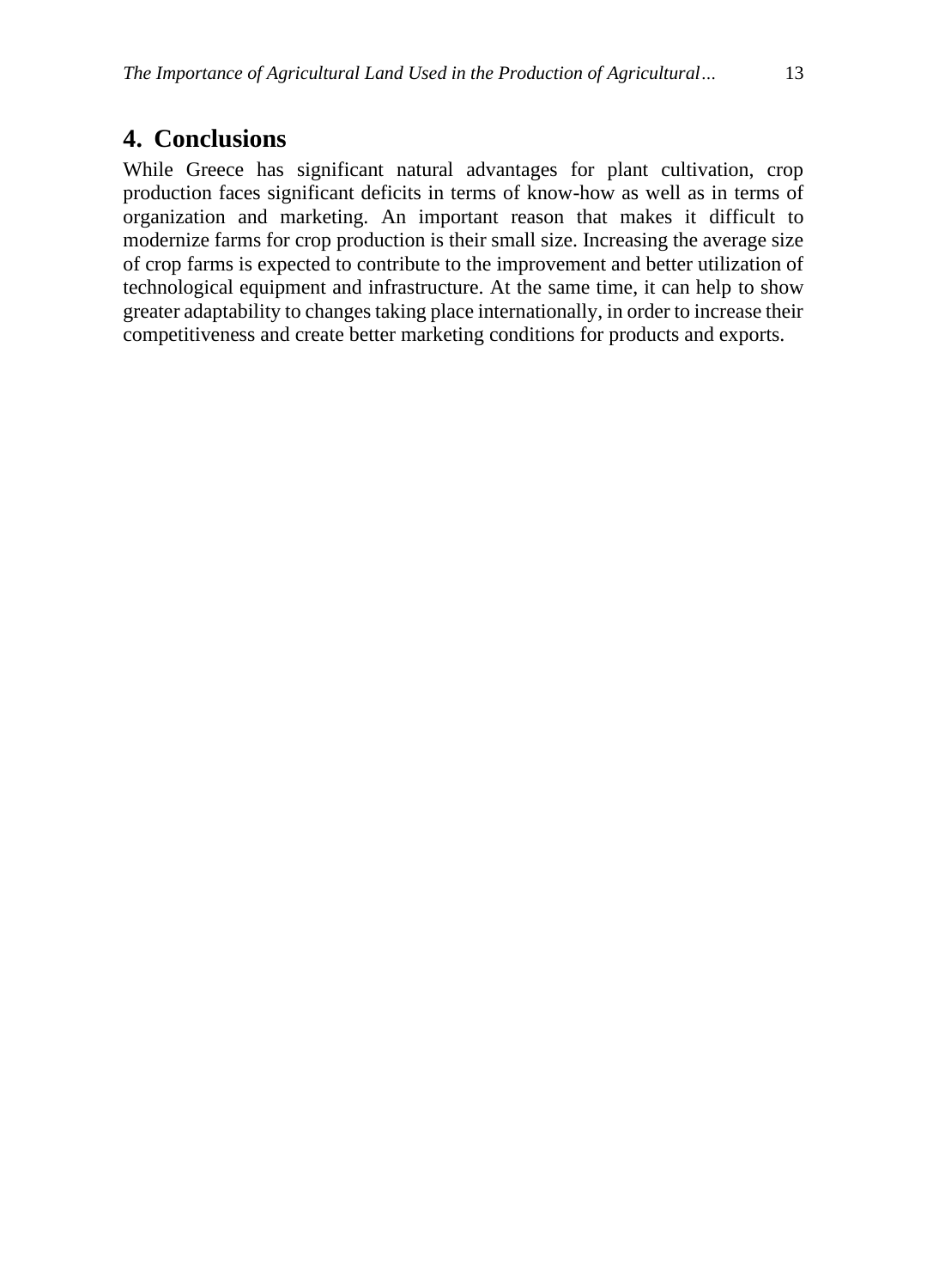#### **4. Conclusions**

While Greece has significant natural advantages for plant cultivation, crop production faces significant deficits in terms of know-how as well as in terms of organization and marketing. An important reason that makes it difficult to modernize farms for crop production is their small size. Increasing the average size of crop farms is expected to contribute to the improvement and better utilization of technological equipment and infrastructure. At the same time, it can help to show greater adaptability to changes taking place internationally, in order to increase their competitiveness and create better marketing conditions for products and exports.